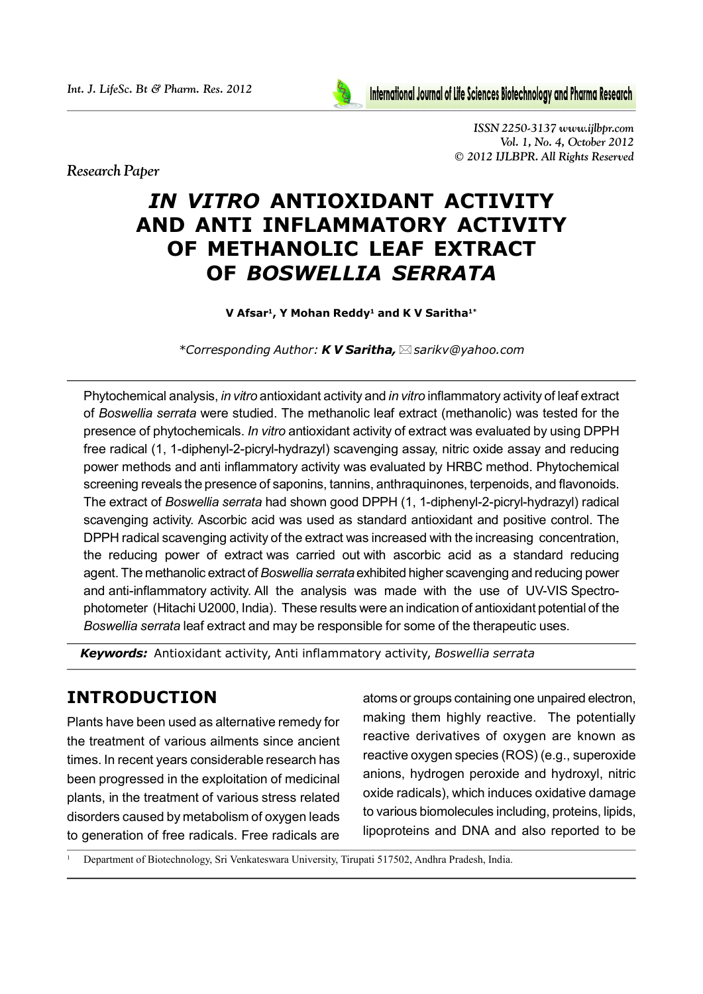

*International Journal of Life Sciences Biotechnology and Pharma Research.* 

*ISSN 2250-3137 www.ijlbpr.com Vol. 1, No. 4, October 2012 © 2012 IJLBPR. All Rights Reserved*

*Research Paper*

# *IN VITRO* **ANTIOXIDANT ACTIVITY AND ANTI INFLAMMATORY ACTIVITY OF METHANOLIC LEAF EXTRACT OF** *BOSWELLIA SERRATA*

#### **V Afsar1, Y Mohan Reddy1 and K V Saritha1\***

*\*Corresponding Author: K V Saritha, sarikv@yahoo.com*

Phytochemical analysis, *in vitro* antioxidant activity and *in vitro* inflammatory activity of leaf extract of *Boswellia serrata* were studied. The methanolic leaf extract (methanolic) was tested for the presence of phytochemicals. *In vitro* antioxidant activity of extract was evaluated by using DPPH free radical (1, 1-diphenyl-2-picryl-hydrazyl) scavenging assay, nitric oxide assay and reducing power methods and anti inflammatory activity was evaluated by HRBC method. Phytochemical screening reveals the presence of saponins, tannins, anthraquinones, terpenoids, and flavonoids. The extract of *Boswellia serrata* had shown good DPPH (1, 1-diphenyl-2-picryl-hydrazyl) radical scavenging activity. Ascorbic acid was used as standard antioxidant and positive control. The DPPH radical scavenging activity of the extract was increased with the increasing concentration, the reducing power of extract was carried out with ascorbic acid as a standard reducing agent. The methanolic extract of *Boswellia serrata* exhibited higher scavenging and reducing power and anti-inflammatory activity. All the analysis was made with the use of UV-VIS Spectrophotometer (Hitachi U2000, India). These results were an indication of antioxidant potential of the *Boswellia serrata* leaf extract and may be responsible for some of the therapeutic uses.

*Keywords:* Antioxidant activity, Anti inflammatory activity, *Boswellia serrata*

# **INTRODUCTION**

Plants have been used as alternative remedy for the treatment of various ailments since ancient times. In recent years considerable research has been progressed in the exploitation of medicinal plants, in the treatment of various stress related disorders caused by metabolism of oxygen leads to generation of free radicals. Free radicals are

atoms or groups containing one unpaired electron, making them highly reactive. The potentially reactive derivatives of oxygen are known as reactive oxygen species (ROS) (e.g., superoxide anions, hydrogen peroxide and hydroxyl, nitric oxide radicals), which induces oxidative damage to various biomolecules including, proteins, lipids, lipoproteins and DNA and also reported to be

<sup>1</sup> Department of Biotechnology, Sri Venkateswara University, Tirupati 517502, Andhra Pradesh, India.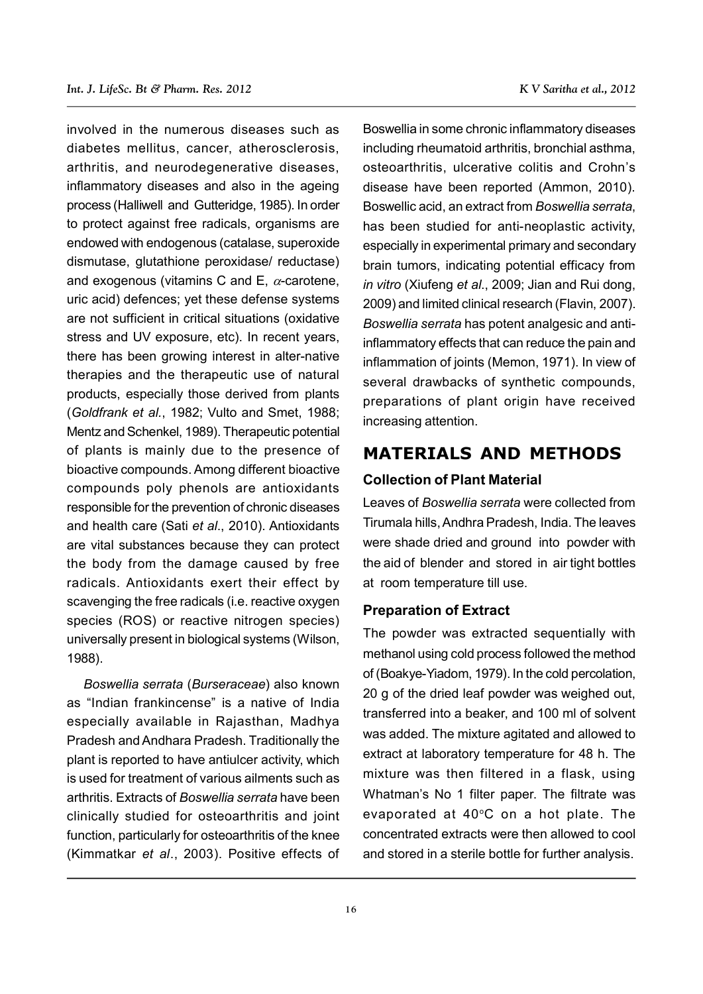involved in the numerous diseases such as diabetes mellitus, cancer, atherosclerosis, arthritis, and neurodegenerative diseases, inflammatory diseases and also in the ageing process (Halliwell and Gutteridge, 1985). In order to protect against free radicals, organisms are endowed with endogenous (catalase, superoxide dismutase, glutathione peroxidase/ reductase) and exogenous (vitamins C and E,  $\alpha$ -carotene, uric acid) defences; yet these defense systems are not sufficient in critical situations (oxidative stress and UV exposure, etc). In recent years, there has been growing interest in alter-native therapies and the therapeutic use of natural products, especially those derived from plants (*Goldfrank et al.*, 1982; Vulto and Smet, 1988; Mentz and Schenkel, 1989). Therapeutic potential of plants is mainly due to the presence of bioactive compounds. Among different bioactive compounds poly phenols are antioxidants responsible for the prevention of chronic diseases and health care (Sati *et al*., 2010). Antioxidants are vital substances because they can protect the body from the damage caused by free radicals. Antioxidants exert their effect by scavenging the free radicals (i.e. reactive oxygen species (ROS) or reactive nitrogen species) universally present in biological systems (Wilson, 1988).

*Boswellia serrata* (*Burseraceae*) also known as "Indian frankincense" is a native of India especially available in Rajasthan, Madhya Pradesh and Andhara Pradesh. Traditionally the plant is reported to have antiulcer activity, which is used for treatment of various ailments such as arthritis. Extracts of *Boswellia serrata* have been clinically studied for osteoarthritis and joint function, particularly for osteoarthritis of the knee (Kimmatkar *et al*., 2003). Positive effects of Boswellia in some chronic inflammatory diseases including rheumatoid arthritis, bronchial asthma, osteoarthritis, ulcerative colitis and Crohn's

disease have been reported (Ammon, 2010). Boswellic acid, an extract from *Boswellia serrata*, has been studied for anti-neoplastic activity, especially in experimental primary and secondary brain tumors, indicating potential efficacy from *in vitro* (Xiufeng *et al*., 2009; Jian and Rui dong, 2009) and limited clinical research (Flavin, 2007). *Boswellia serrata* has potent analgesic and antiinflammatory effects that can reduce the pain and inflammation of joints (Memon, 1971). In view of several drawbacks of synthetic compounds, preparations of plant origin have received increasing attention.

# **MATERIALS AND METHODS**

#### **Collection of Plant Material**

Leaves of *Boswellia serrata* were collected from Tirumala hills, Andhra Pradesh, India. The leaves were shade dried and ground into powder with the aid of blender and stored in air tight bottles at room temperature till use.

#### **Preparation of Extract**

The powder was extracted sequentially with methanol using cold process followed the method of (Boakye-Yiadom, 1979). In the cold percolation, 20 g of the dried leaf powder was weighed out, transferred into a beaker, and 100 ml of solvent was added. The mixture agitated and allowed to extract at laboratory temperature for 48 h. The mixture was then filtered in a flask, using Whatman's No 1 filter paper. The filtrate was evaporated at  $40^{\circ}$ C on a hot plate. The concentrated extracts were then allowed to cool and stored in a sterile bottle for further analysis.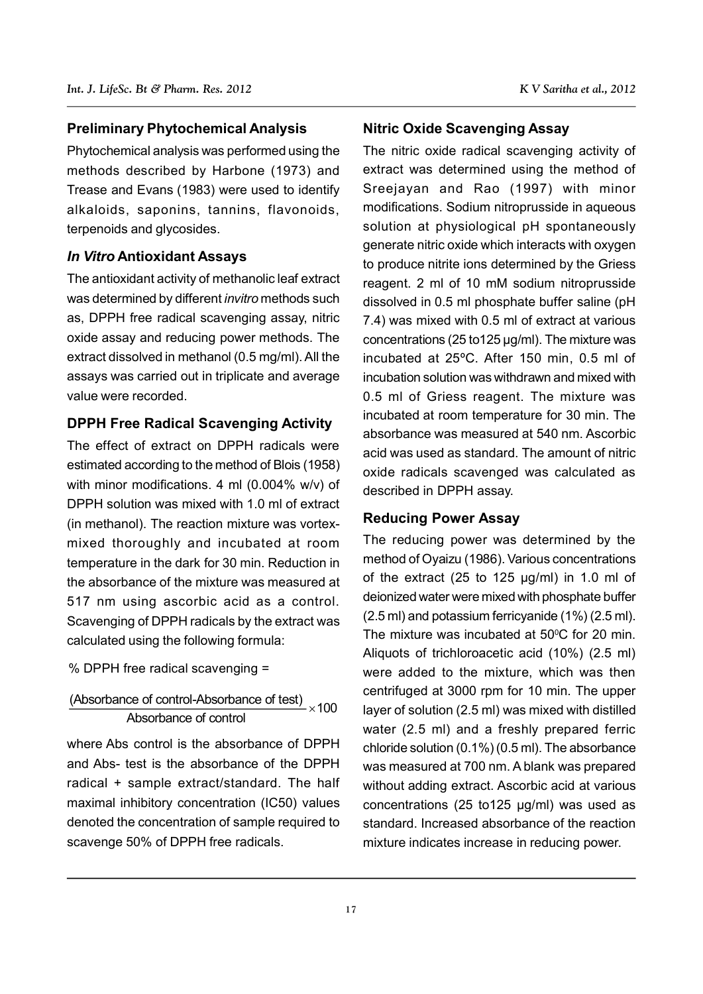#### **Preliminary Phytochemical Analysis**

Phytochemical analysis was performed using the methods described by Harbone (1973) and Trease and Evans (1983) were used to identify alkaloids, saponins, tannins, flavonoids, terpenoids and glycosides.

#### *In Vitro* **Antioxidant Assays**

The antioxidant activity of methanolic leaf extract was determined by different *invitro* methods such as, DPPH free radical scavenging assay, nitric oxide assay and reducing power methods. The extract dissolved in methanol (0.5 mg/ml). All the assays was carried out in triplicate and average value were recorded.

#### **DPPH Free Radical Scavenging Activity**

The effect of extract on DPPH radicals were estimated according to the method of Blois (1958) with minor modifications. 4 ml (0.004% w/v) of DPPH solution was mixed with 1.0 ml of extract (in methanol). The reaction mixture was vortexmixed thoroughly and incubated at room temperature in the dark for 30 min. Reduction in the absorbance of the mixture was measured at 517 nm using ascorbic acid as a control. Scavenging of DPPH radicals by the extract was calculated using the following formula:

% DPPH free radical scavenging =

# (Absorbance of control-Absorbance of test)  $\times$  100 Absorbance of control

where Abs control is the absorbance of DPPH and Abs- test is the absorbance of the DPPH radical + sample extract/standard. The half maximal inhibitory concentration (IC50) values denoted the concentration of sample required to scavenge 50% of DPPH free radicals.

#### **Nitric Oxide Scavenging Assay**

The nitric oxide radical scavenging activity of extract was determined using the method of Sreejayan and Rao (1997) with minor modifications. Sodium nitroprusside in aqueous solution at physiological pH spontaneously generate nitric oxide which interacts with oxygen to produce nitrite ions determined by the Griess reagent. 2 ml of 10 mM sodium nitroprusside dissolved in 0.5 ml phosphate buffer saline (pH 7.4) was mixed with 0.5 ml of extract at various concentrations (25 to125 µg/ml). The mixture was incubated at 25ºC. After 150 min, 0.5 ml of incubation solution was withdrawn and mixed with 0.5 ml of Griess reagent. The mixture was incubated at room temperature for 30 min. The absorbance was measured at 540 nm. Ascorbic acid was used as standard. The amount of nitric oxide radicals scavenged was calculated as described in DPPH assay.

#### **Reducing Power Assay**

The reducing power was determined by the method of Oyaizu (1986). Various concentrations of the extract (25 to 125 µg/ml) in 1.0 ml of deionized water were mixed with phosphate buffer (2.5 ml) and potassium ferricyanide (1%) (2.5 ml). The mixture was incubated at  $50^{\circ}$ C for 20 min. Aliquots of trichloroacetic acid (10%) (2.5 ml) were added to the mixture, which was then centrifuged at 3000 rpm for 10 min. The upper layer of solution (2.5 ml) was mixed with distilled water (2.5 ml) and a freshly prepared ferric chloride solution (0.1%) (0.5 ml). The absorbance was measured at 700 nm. A blank was prepared without adding extract. Ascorbic acid at various concentrations (25 to125 µg/ml) was used as standard. Increased absorbance of the reaction mixture indicates increase in reducing power.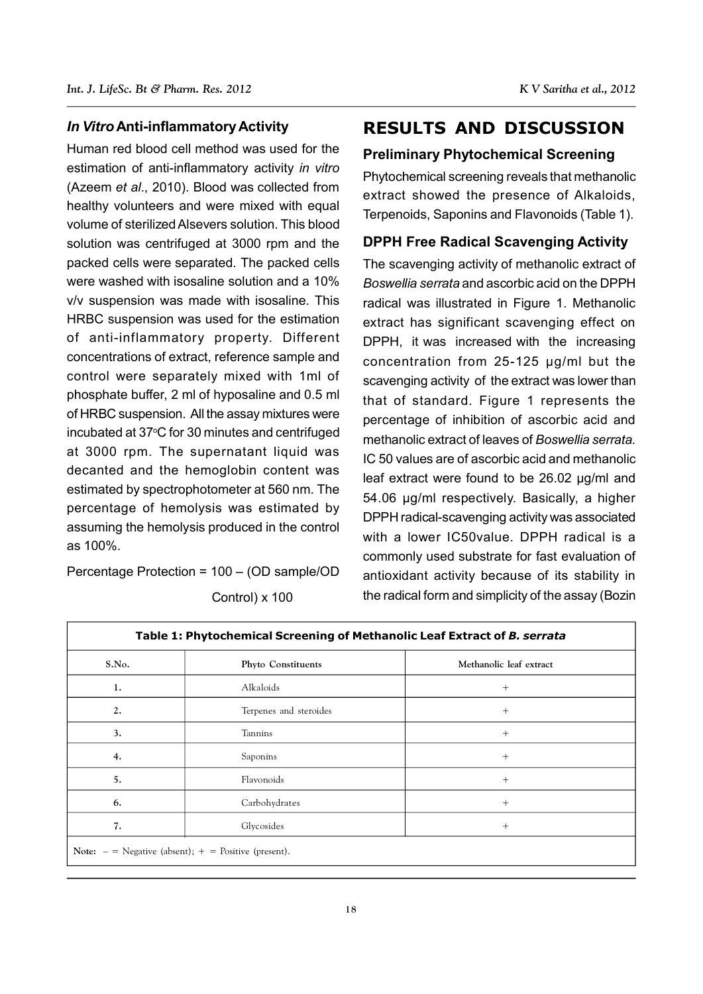#### *In Vitro* **Anti-inflammatory Activity**

Human red blood cell method was used for the estimation of anti-inflammatory activity *in vitro* (Azeem *et al*., 2010). Blood was collected from healthy volunteers and were mixed with equal volume of sterilized Alsevers solution. This blood solution was centrifuged at 3000 rpm and the packed cells were separated. The packed cells were washed with isosaline solution and a 10% v/v suspension was made with isosaline. This HRBC suspension was used for the estimation of anti-inflammatory property. Different concentrations of extract, reference sample and control were separately mixed with 1ml of phosphate buffer, 2 ml of hyposaline and 0.5 ml of HRBC suspension. All the assay mixtures were incubated at 37°C for 30 minutes and centrifuged at 3000 rpm. The supernatant liquid was decanted and the hemoglobin content was estimated by spectrophotometer at 560 nm. The percentage of hemolysis was estimated by assuming the hemolysis produced in the control as 100%.

Percentage Protection = 100 – (OD sample/OD

| S.No. | Phyto Constituents     | Methanolic leaf extract |
|-------|------------------------|-------------------------|
| 1.    | Alkaloids              | $+$                     |
| 2.    | Terpenes and steroides | $+$                     |
| 3.    | Tannins                | $^{+}$                  |
| 4.    | Saponins               | $^{+}$                  |
| 5.    | Flavonoids             | $^{+}$                  |
| 6.    | Carbohydrates          | $^{+}$                  |
| 7.    | Glycosides             | $+$                     |

Control) x 100

# **RESULTS AND DISCUSSION**

#### **Preliminary Phytochemical Screening**

Phytochemical screening reveals that methanolic extract showed the presence of Alkaloids, Terpenoids, Saponins and Flavonoids (Table 1).

#### **DPPH Free Radical Scavenging Activity**

The scavenging activity of methanolic extract of *Boswellia serrata* and ascorbic acid on the DPPH radical was illustrated in Figure 1. Methanolic extract has significant scavenging effect on DPPH, it was increased with the increasing concentration from 25-125 µg/ml but the scavenging activity of the extract was lower than that of standard. Figure 1 represents the percentage of inhibition of ascorbic acid and methanolic extract of leaves of *Boswellia serrata.* IC 50 values are of ascorbic acid and methanolic leaf extract were found to be 26.02 µg/ml and 54.06 µg/ml respectively. Basically, a higher DPPH radical-scavenging activity was associated with a lower IC50value. DPPH radical is a commonly used substrate for fast evaluation of antioxidant activity because of its stability in the radical form and simplicity of the assay (Bozin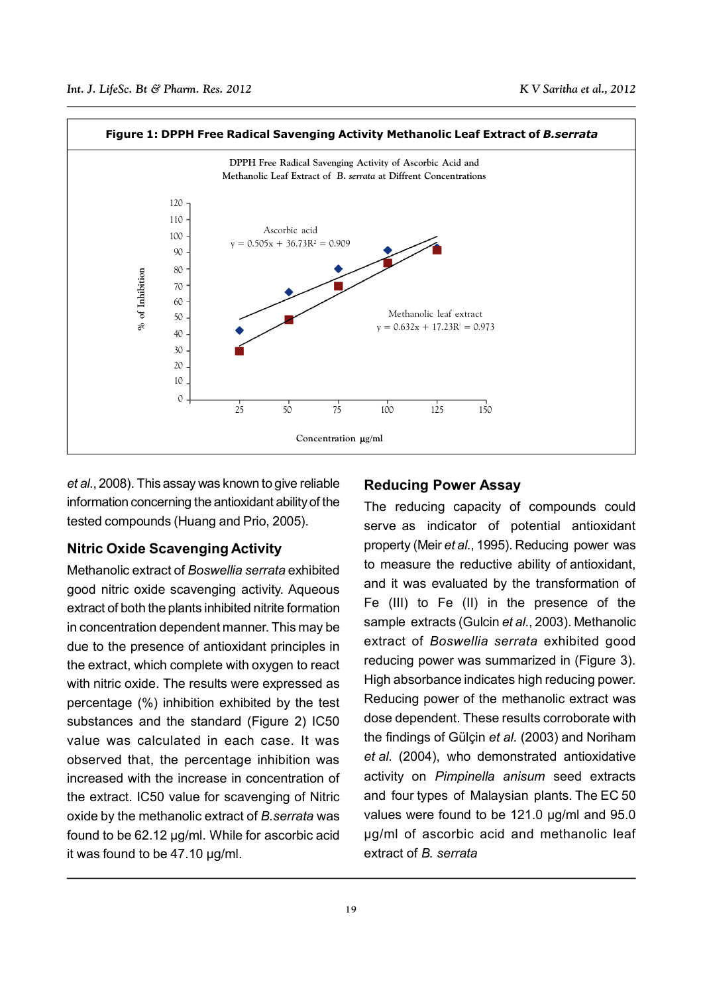

*et al*., 2008). This assay was known to give reliable information concerning the antioxidant ability of the tested compounds (Huang and Prio, 2005).

#### **Nitric Oxide Scavenging Activity**

Methanolic extract of *Boswellia serrata* exhibited good nitric oxide scavenging activity. Aqueous extract of both the plants inhibited nitrite formation in concentration dependent manner. This may be due to the presence of antioxidant principles in the extract, which complete with oxygen to react with nitric oxide. The results were expressed as percentage (%) inhibition exhibited by the test substances and the standard (Figure 2) IC50 value was calculated in each case. It was observed that, the percentage inhibition was increased with the increase in concentration of the extract. IC50 value for scavenging of Nitric oxide by the methanolic extract of *B.serrata* was found to be 62.12 µg/ml. While for ascorbic acid it was found to be 47.10 µg/ml.

#### **Reducing Power Assay**

The reducing capacity of compounds could serve as indicator of potential antioxidant property (Meir *et al*., 1995). Reducing power was to measure the reductive ability of antioxidant, and it was evaluated by the transformation of Fe (III) to Fe (II) in the presence of the sample extracts (Gulcin *et al*., 2003). Methanolic extract of *Boswellia serrata* exhibited good reducing power was summarized in (Figure 3). High absorbance indicates high reducing power. Reducing power of the methanolic extract was dose dependent. These results corroborate with the findings of Gülçin *et al.* (2003) and Noriham *et al*. (2004), who demonstrated antioxidative activity on *Pimpinella anisum* seed extracts and four types of Malaysian plants. The EC 50 values were found to be 121.0 µg/ml and 95.0 µg/ml of ascorbic acid and methanolic leaf extract of *B. serrata*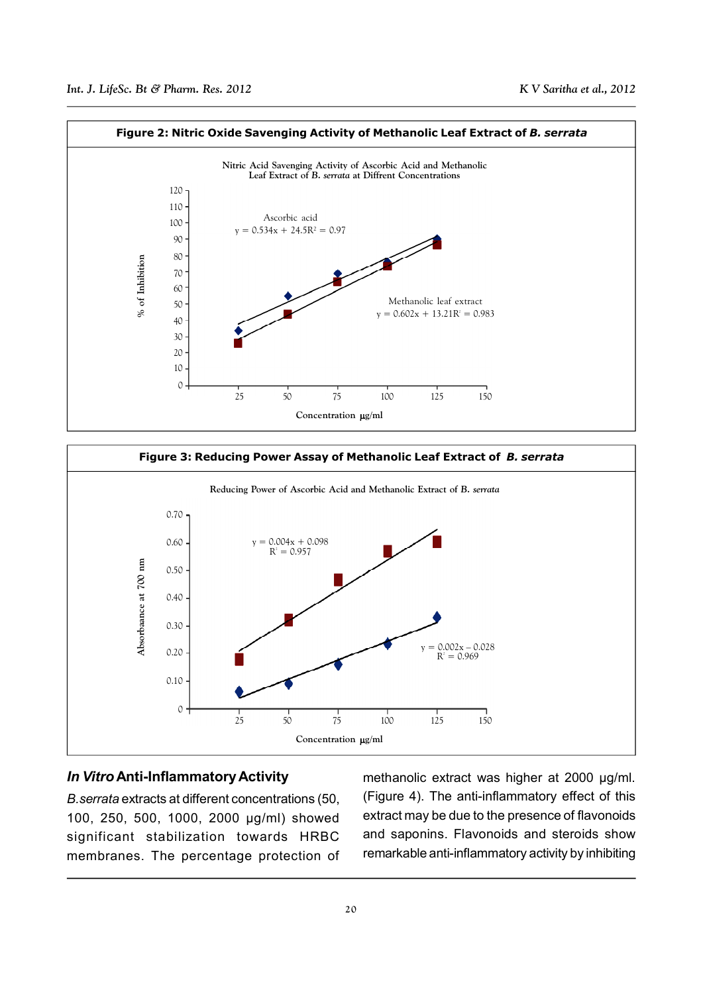



#### *In Vitro* **Anti-Inflammatory Activity**

*B.serrata* extracts at different concentrations (50, 100, 250, 500, 1000, 2000 µg/ml) showed significant stabilization towards HRBC membranes. The percentage protection of methanolic extract was higher at 2000 µg/ml. (Figure 4). The anti-inflammatory effect of this extract may be due to the presence of flavonoids and saponins. Flavonoids and steroids show remarkable anti-inflammatory activity by inhibiting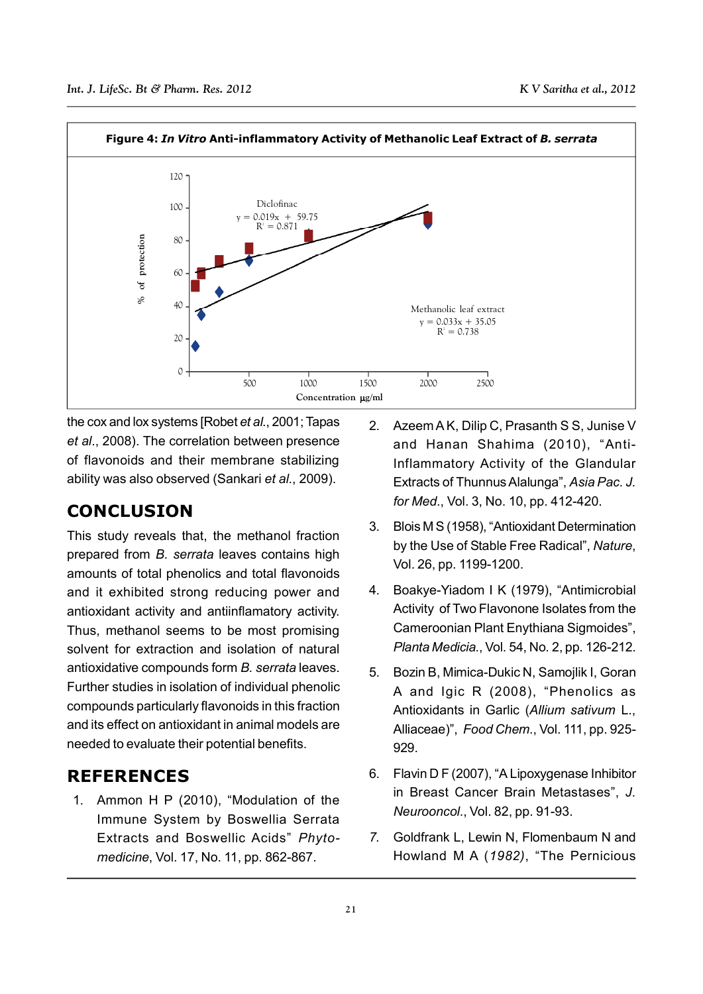

the cox and lox systems [Robet *et al*., 2001; Tapas *et al*., 2008). The correlation between presence of flavonoids and their membrane stabilizing ability was also observed (Sankari *et al*., 2009).

# **CONCLUSION**

This study reveals that, the methanol fraction prepared from *B. serrata* leaves contains high amounts of total phenolics and total flavonoids and it exhibited strong reducing power and antioxidant activity and antiinflamatory activity. Thus, methanol seems to be most promising solvent for extraction and isolation of natural antioxidative compounds form *B. serrata* leaves. Further studies in isolation of individual phenolic compounds particularly flavonoids in this fraction and its effect on antioxidant in animal models are needed to evaluate their potential benefits.

# **REFERENCES**

1. Ammon H P (2010), "Modulation of the Immune System by Boswellia Serrata Extracts and Boswellic Acids" *Phytomedicine*, Vol. 17, No. 11, pp. 862-867.

- 2. Azeem A K, Dilip C, Prasanth S S, Junise V and Hanan Shahima (2010), "Anti-Inflammatory Activity of the Glandular Extracts of Thunnus Alalunga", *Asia Pac. J. for Med*., Vol. 3, No. 10, pp. 412-420.
- 3. Blois M S (1958), "Antioxidant Determination by the Use of Stable Free Radical", *Nature*, Vol. 26, pp. 1199-1200.
- 4. Boakye-Yiadom I K (1979), "Antimicrobial Activity of Two Flavonone Isolates from the Cameroonian Plant Enythiana Sigmoides", *Planta Medicia*., Vol. 54, No. 2, pp. 126-212.
- 5. Bozin B, Mimica-Dukic N, Samojlik I, Goran A and Igic R (2008), "Phenolics as Antioxidants in Garlic (*Allium sativum* L., Alliaceae)", *Food Chem*., Vol. 111, pp. 925- 929.
- 6. Flavin D F (2007), "A Lipoxygenase Inhibitor in Breast Cancer Brain Metastases", *J. Neurooncol*., Vol. 82, pp. 91-93.
- *7.* Goldfrank L, Lewin N, Flomenbaum N and Howland M A (*1982)*, "The Pernicious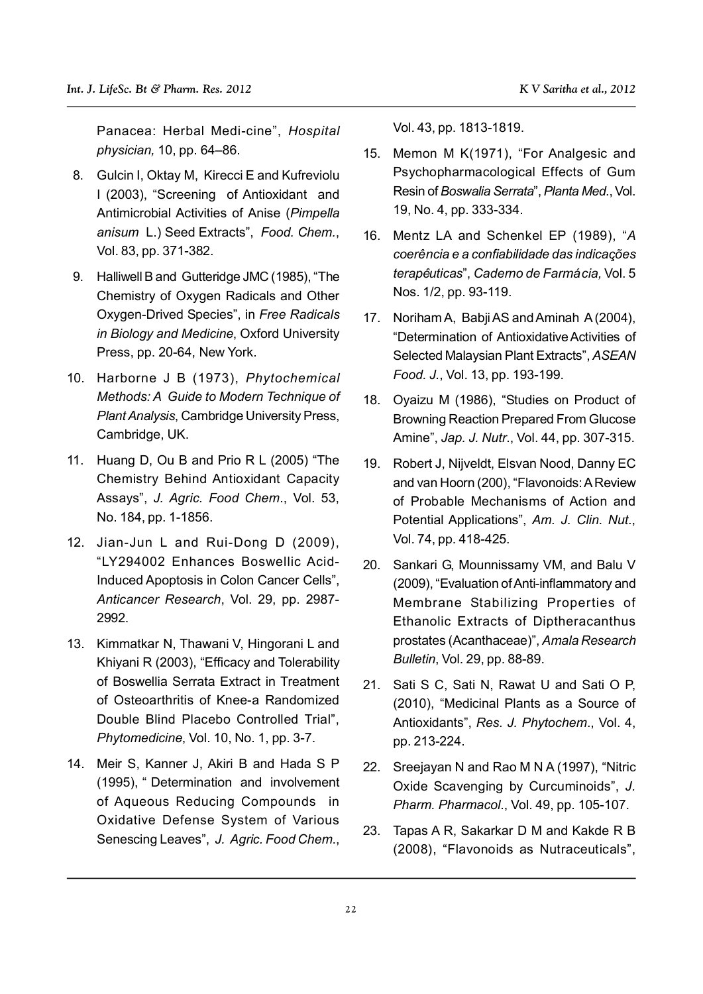Panacea: Herbal Medi-cine", *Hospital physician,* 10, pp. 64–86.

- 8. Gulcin I, Oktay M, Kirecci E and Kufreviolu I (2003), "Screening of Antioxidant and Antimicrobial Activities of Anise (*Pimpella anisum* L.) Seed Extracts", *Food. Chem.*, Vol. 83, pp. 371-382.
- 9. Halliwell B and Gutteridge JMC (1985), "The Chemistry of Oxygen Radicals and Other Oxygen-Drived Species", in *Free Radicals in Biology and Medicine*, Oxford University Press, pp. 20-64, New York.
- 10. Harborne J B (1973), *Phytochemical Methods: A Guide to Modern Technique of Plant Analysis*, Cambridge University Press, Cambridge, UK.
- 11. Huang D, Ou B and Prio R L (2005) "The Chemistry Behind Antioxidant Capacity Assays", *J. Agric. Food Chem*., Vol. 53, No. 184, pp. 1-1856.
- 12. Jian-Jun L and Rui-Dong D (2009), "LY294002 Enhances Boswellic Acid-Induced Apoptosis in Colon Cancer Cells", *Anticancer Research*, Vol. 29, pp. 2987- 2992.
- 13. Kimmatkar N, Thawani V, Hingorani L and Khiyani R (2003), "Efficacy and Tolerability of Boswellia Serrata Extract in Treatment of Osteoarthritis of Knee-a Randomized Double Blind Placebo Controlled Trial", *Phytomedicine*, Vol. 10, No. 1, pp. 3-7.
- 14. Meir S, Kanner J, Akiri B and Hada S P (1995), " Determination and involvement of Aqueous Reducing Compounds in Oxidative Defense System of Various Senescing Leaves", *J. Agric. Food Chem*.,

Vol. 43, pp. 1813-1819.

- 15. Memon M K(1971), "For Analgesic and Psychopharmacological Effects of Gum Resin of *Boswalia Serrata*", *Planta Med*., Vol. 19, No. 4, pp. 333-334.
- 16. Mentz LA and Schenkel EP (1989), "*A coereˆ ncia e a confiabilidade das indicac¸o˜es*  $t$ erapêuticas", Caderno de Farmácia, Vol. 5 Nos. 1/2, pp. 93-119.
- 17. Noriham A, Babji AS and Aminah A (2004), "Determination of Antioxidative Activities of Selected Malaysian Plant Extracts", *ASEAN Food. J.*, Vol. 13, pp. 193-199.
- 18. Oyaizu M (1986), "Studies on Product of Browning Reaction Prepared From Glucose Amine", *Jap. J. Nutr*., Vol. 44, pp. 307-315.
- 19. Robert J, Nijveldt, Elsvan Nood, Danny EC and van Hoorn (200), "Flavonoids: A Review of Probable Mechanisms of Action and Potential Applications", *Am. J. Clin. Nut*., Vol. 74, pp. 418-425.
- 20. Sankari G, Mounnissamy VM, and Balu V (2009), "Evaluation of Anti-inflammatory and Membrane Stabilizing Properties of Ethanolic Extracts of Diptheracanthus prostates (Acanthaceae)", *Amala Research Bulletin*, Vol. 29, pp. 88-89.
- 21. Sati S C, Sati N, Rawat U and Sati O P, (2010), "Medicinal Plants as a Source of Antioxidants", *Res. J. Phytochem*., Vol. 4, pp. 213-224.
- 22. Sreejayan N and Rao M N A (1997), "Nitric Oxide Scavenging by Curcuminoids", *J. Pharm. Pharmacol*., Vol. 49, pp. 105-107.
- 23. Tapas A R, Sakarkar D M and Kakde R B (2008), "Flavonoids as Nutraceuticals",